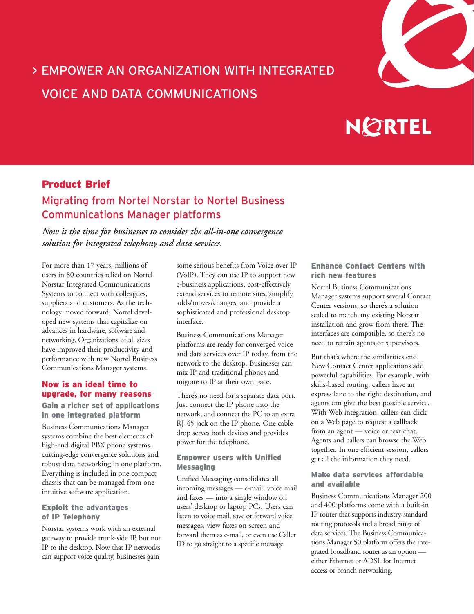

## > EMPOWER AN ORGANIZATION WITH INTEGRATED VOICE AND DATA COMMUNICATIONS

# **NORTEL**

## Product Brief

## Migrating from Nortel Norstar to Nortel Business Communications Manager platforms

*Now is the time for businesses to consider the all-in-one convergence solution for integrated telephony and data services.*

For more than 17 years, millions of users in 80 countries relied on Nortel Norstar Integrated Communications Systems to connect with colleagues, suppliers and customers. As the technology moved forward, Nortel developed new systems that capitalize on advances in hardware, software and networking. Organizations of all sizes have improved their productivity and performance with new Nortel Business Communications Manager systems.

#### Now is an ideal time to upgrade, for many reasons

#### Gain a richer set of applications in one integrated platform

Business Communications Manager systems combine the best elements of high-end digital PBX phone systems, cutting-edge convergence solutions and robust data networking in one platform. Everything is included in one compact chassis that can be managed from one intuitive software application.

#### Exploit the advantages of IP Telephony

Norstar systems work with an external gateway to provide trunk-side IP, but not IP to the desktop. Now that IP networks can support voice quality, businesses gain

some serious benefits from Voice over IP (VoIP). They can use IP to support new e-business applications, cost-effectively extend services to remote sites, simplify adds/moves/changes, and provide a sophisticated and professional desktop interface.

Business Communications Manager platforms are ready for converged voice and data services over IP today, from the network to the desktop. Businesses can mix IP and traditional phones and migrate to IP at their own pace.

There's no need for a separate data port. Just connect the IP phone into the network, and connect the PC to an extra RJ-45 jack on the IP phone. One cable drop serves both devices and provides power for the telephone.

#### Empower users with Unified **Messaging**

Unified Messaging consolidates all incoming messages — e-mail, voice mail and faxes — into a single window on users' desktop or laptop PCs. Users can listen to voice mail, save or forward voice messages, view faxes on screen and forward them as e-mail, or even use Caller ID to go straight to a specific message.

#### Enhance Contact Centers with rich new features

Nortel Business Communications Manager systems support several Contact Center versions, so there's a solution scaled to match any existing Norstar installation and grow from there. The interfaces are compatible, so there's no need to retrain agents or supervisors.

But that's where the similarities end. New Contact Center applications add powerful capabilities. For example, with skills-based routing, callers have an express lane to the right destination, and agents can give the best possible service. With Web integration, callers can click on a Web page to request a callback from an agent — voice or text chat. Agents and callers can browse the Web together. In one efficient session, callers get all the information they need.

#### Make data services affordable and available

Business Communications Manager 200 and 400 platforms come with a built-in IP router that supports industry-standard routing protocols and a broad range of data services. The Business Communications Manager 50 platform offers the integrated broadband router as an option either Ethernet or ADSL for Internet access or branch networking.